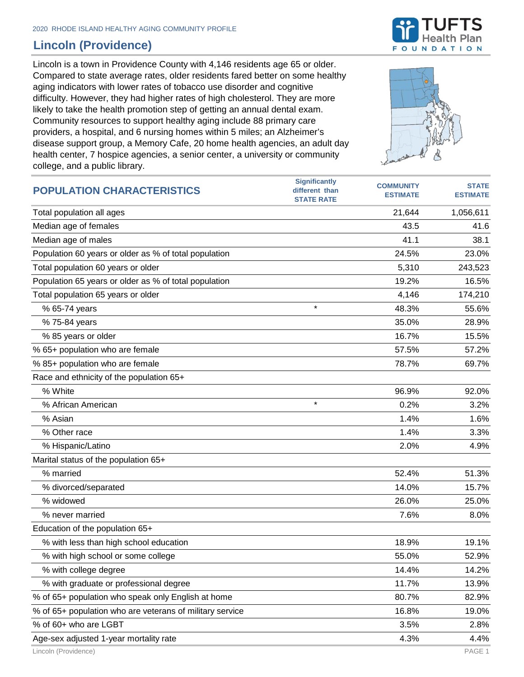## **Lincoln (Providence)**

Lincoln is a town in Providence County with 4,146 residents age 65 or older. Compared to state average rates, older residents fared better on some healthy aging indicators with lower rates of tobacco use disorder and cognitive difficulty. However, they had higher rates of high cholesterol. They are more likely to take the health promotion step of getting an annual dental exam. Community resources to support healthy aging include 88 primary care providers, a hospital, and 6 nursing homes within 5 miles; an Alzheimer's disease support group, a Memory Cafe, 20 home health agencies, an adult day health center, 7 hospice agencies, a senior center, a university or community college, and a public library.



| <b>POPULATION CHARACTERISTICS</b>                        | <b>Significantly</b><br>different than<br><b>STATE RATE</b> | <b>COMMUNITY</b><br><b>ESTIMATE</b> | <b>STATE</b><br><b>ESTIMATE</b> |
|----------------------------------------------------------|-------------------------------------------------------------|-------------------------------------|---------------------------------|
| Total population all ages                                |                                                             | 21,644                              | 1,056,611                       |
| Median age of females                                    |                                                             | 43.5                                | 41.6                            |
| Median age of males                                      |                                                             | 41.1                                | 38.1                            |
| Population 60 years or older as % of total population    |                                                             | 24.5%                               | 23.0%                           |
| Total population 60 years or older                       |                                                             | 5,310                               | 243,523                         |
| Population 65 years or older as % of total population    |                                                             | 19.2%                               | 16.5%                           |
| Total population 65 years or older                       |                                                             | 4,146                               | 174,210                         |
| % 65-74 years                                            | $\star$                                                     | 48.3%                               | 55.6%                           |
| % 75-84 years                                            |                                                             | 35.0%                               | 28.9%                           |
| % 85 years or older                                      |                                                             | 16.7%                               | 15.5%                           |
| % 65+ population who are female                          |                                                             | 57.5%                               | 57.2%                           |
| % 85+ population who are female                          |                                                             | 78.7%                               | 69.7%                           |
| Race and ethnicity of the population 65+                 |                                                             |                                     |                                 |
| % White                                                  |                                                             | 96.9%                               | 92.0%                           |
| % African American                                       | $\star$                                                     | 0.2%                                | 3.2%                            |
| % Asian                                                  |                                                             | 1.4%                                | 1.6%                            |
| % Other race                                             |                                                             | 1.4%                                | 3.3%                            |
| % Hispanic/Latino                                        |                                                             | 2.0%                                | 4.9%                            |
| Marital status of the population 65+                     |                                                             |                                     |                                 |
| % married                                                |                                                             | 52.4%                               | 51.3%                           |
| % divorced/separated                                     |                                                             | 14.0%                               | 15.7%                           |
| % widowed                                                |                                                             | 26.0%                               | 25.0%                           |
| % never married                                          |                                                             | 7.6%                                | 8.0%                            |
| Education of the population 65+                          |                                                             |                                     |                                 |
| % with less than high school education                   |                                                             | 18.9%                               | 19.1%                           |
| % with high school or some college                       |                                                             | 55.0%                               | 52.9%                           |
| % with college degree                                    |                                                             | 14.4%                               | 14.2%                           |
| % with graduate or professional degree                   |                                                             | 11.7%                               | 13.9%                           |
| % of 65+ population who speak only English at home       |                                                             | 80.7%                               | 82.9%                           |
| % of 65+ population who are veterans of military service |                                                             | 16.8%                               | 19.0%                           |
| % of 60+ who are LGBT                                    |                                                             | 3.5%                                | 2.8%                            |
| Age-sex adjusted 1-year mortality rate                   |                                                             | 4.3%                                | 4.4%                            |

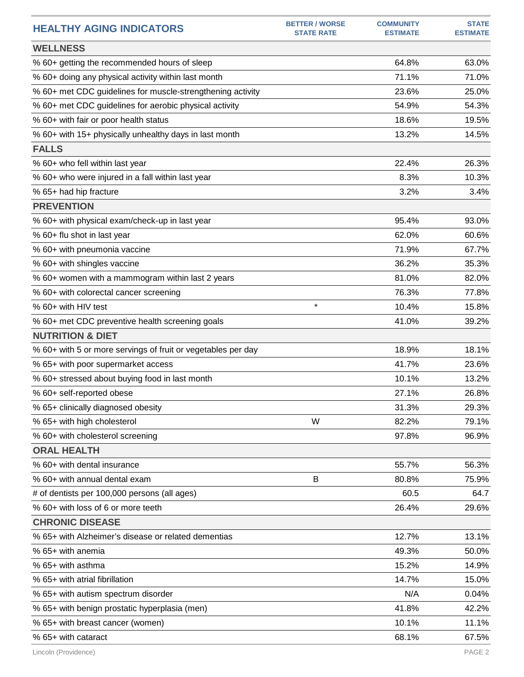| <b>HEALTHY AGING INDICATORS</b>                              | <b>BETTER / WORSE</b><br><b>STATE RATE</b> | <b>COMMUNITY</b><br><b>ESTIMATE</b> | <b>STATE</b><br><b>ESTIMATE</b> |
|--------------------------------------------------------------|--------------------------------------------|-------------------------------------|---------------------------------|
| <b>WELLNESS</b>                                              |                                            |                                     |                                 |
| % 60+ getting the recommended hours of sleep                 |                                            | 64.8%                               | 63.0%                           |
| % 60+ doing any physical activity within last month          |                                            | 71.1%                               | 71.0%                           |
| % 60+ met CDC guidelines for muscle-strengthening activity   |                                            | 23.6%                               | 25.0%                           |
| % 60+ met CDC guidelines for aerobic physical activity       |                                            | 54.9%                               | 54.3%                           |
| % 60+ with fair or poor health status                        |                                            | 18.6%                               | 19.5%                           |
| % 60+ with 15+ physically unhealthy days in last month       |                                            | 13.2%                               | 14.5%                           |
| <b>FALLS</b>                                                 |                                            |                                     |                                 |
| % 60+ who fell within last year                              |                                            | 22.4%                               | 26.3%                           |
| % 60+ who were injured in a fall within last year            |                                            | 8.3%                                | 10.3%                           |
| % 65+ had hip fracture                                       |                                            | 3.2%                                | 3.4%                            |
| <b>PREVENTION</b>                                            |                                            |                                     |                                 |
| % 60+ with physical exam/check-up in last year               |                                            | 95.4%                               | 93.0%                           |
| % 60+ flu shot in last year                                  |                                            | 62.0%                               | 60.6%                           |
| % 60+ with pneumonia vaccine                                 |                                            | 71.9%                               | 67.7%                           |
| % 60+ with shingles vaccine                                  |                                            | 36.2%                               | 35.3%                           |
| % 60+ women with a mammogram within last 2 years             |                                            | 81.0%                               | 82.0%                           |
| % 60+ with colorectal cancer screening                       |                                            | 76.3%                               | 77.8%                           |
| % 60+ with HIV test                                          | $\star$                                    | 10.4%                               | 15.8%                           |
| % 60+ met CDC preventive health screening goals              |                                            | 41.0%                               | 39.2%                           |
| <b>NUTRITION &amp; DIET</b>                                  |                                            |                                     |                                 |
| % 60+ with 5 or more servings of fruit or vegetables per day |                                            | 18.9%                               | 18.1%                           |
| % 65+ with poor supermarket access                           |                                            | 41.7%                               | 23.6%                           |
| % 60+ stressed about buying food in last month               |                                            | 10.1%                               | 13.2%                           |
| % 60+ self-reported obese                                    |                                            | 27.1%                               | 26.8%                           |
| % 65+ clinically diagnosed obesity                           |                                            | 31.3%                               | 29.3%                           |
| % 65+ with high cholesterol                                  | W                                          | 82.2%                               | 79.1%                           |
| % 60+ with cholesterol screening                             |                                            | 97.8%                               | 96.9%                           |
| <b>ORAL HEALTH</b>                                           |                                            |                                     |                                 |
| % 60+ with dental insurance                                  |                                            | 55.7%                               | 56.3%                           |
| % 60+ with annual dental exam                                | В                                          | 80.8%                               | 75.9%                           |
| # of dentists per 100,000 persons (all ages)                 |                                            | 60.5                                | 64.7                            |
| % 60+ with loss of 6 or more teeth                           |                                            | 26.4%                               | 29.6%                           |
| <b>CHRONIC DISEASE</b>                                       |                                            |                                     |                                 |
| % 65+ with Alzheimer's disease or related dementias          |                                            | 12.7%                               | 13.1%                           |
| % 65+ with anemia                                            |                                            | 49.3%                               | 50.0%                           |
| % 65+ with asthma                                            |                                            | 15.2%                               | 14.9%                           |
| % 65+ with atrial fibrillation                               |                                            | 14.7%                               | 15.0%                           |
| % 65+ with autism spectrum disorder                          |                                            | N/A                                 | 0.04%                           |
| % 65+ with benign prostatic hyperplasia (men)                |                                            | 41.8%                               | 42.2%                           |
| % 65+ with breast cancer (women)                             |                                            | 10.1%                               | 11.1%                           |
| % 65+ with cataract                                          |                                            | 68.1%                               | 67.5%                           |
|                                                              |                                            |                                     |                                 |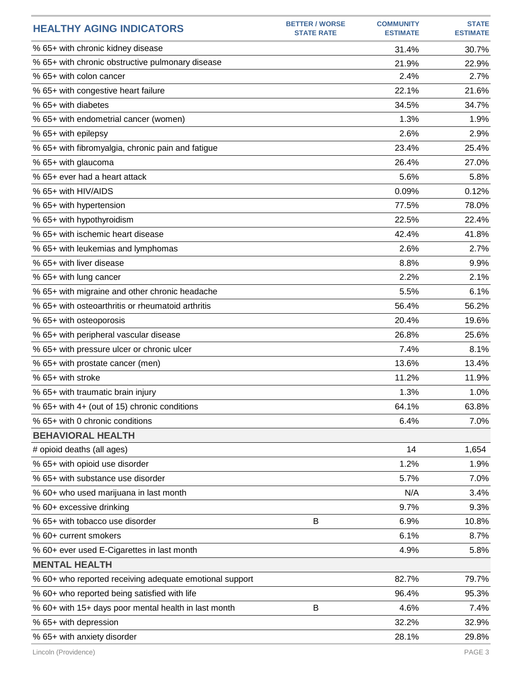| <b>HEALTHY AGING INDICATORS</b>                         | <b>BETTER / WORSE</b><br><b>STATE RATE</b> | <b>COMMUNITY</b><br><b>ESTIMATE</b> | <b>STATE</b><br><b>ESTIMATE</b> |
|---------------------------------------------------------|--------------------------------------------|-------------------------------------|---------------------------------|
| % 65+ with chronic kidney disease                       |                                            | 31.4%                               | 30.7%                           |
| % 65+ with chronic obstructive pulmonary disease        |                                            | 21.9%                               | 22.9%                           |
| % 65+ with colon cancer                                 |                                            | 2.4%                                | 2.7%                            |
| % 65+ with congestive heart failure                     |                                            | 22.1%                               | 21.6%                           |
| % 65+ with diabetes                                     |                                            | 34.5%                               | 34.7%                           |
| % 65+ with endometrial cancer (women)                   |                                            | 1.3%                                | 1.9%                            |
| % 65+ with epilepsy                                     |                                            | 2.6%                                | 2.9%                            |
| % 65+ with fibromyalgia, chronic pain and fatigue       |                                            | 23.4%                               | 25.4%                           |
| % 65+ with glaucoma                                     |                                            | 26.4%                               | 27.0%                           |
| % 65+ ever had a heart attack                           |                                            | 5.6%                                | 5.8%                            |
| % 65+ with HIV/AIDS                                     |                                            | 0.09%                               | 0.12%                           |
| % 65+ with hypertension                                 |                                            | 77.5%                               | 78.0%                           |
| % 65+ with hypothyroidism                               |                                            | 22.5%                               | 22.4%                           |
| % 65+ with ischemic heart disease                       |                                            | 42.4%                               | 41.8%                           |
| % 65+ with leukemias and lymphomas                      |                                            | 2.6%                                | 2.7%                            |
| % 65+ with liver disease                                |                                            | 8.8%                                | 9.9%                            |
| % 65+ with lung cancer                                  |                                            | 2.2%                                | 2.1%                            |
| % 65+ with migraine and other chronic headache          |                                            | 5.5%                                | 6.1%                            |
| % 65+ with osteoarthritis or rheumatoid arthritis       |                                            | 56.4%                               | 56.2%                           |
| % 65+ with osteoporosis                                 |                                            | 20.4%                               | 19.6%                           |
| % 65+ with peripheral vascular disease                  |                                            | 26.8%                               | 25.6%                           |
| % 65+ with pressure ulcer or chronic ulcer              |                                            | 7.4%                                | 8.1%                            |
| % 65+ with prostate cancer (men)                        |                                            | 13.6%                               | 13.4%                           |
| % 65+ with stroke                                       |                                            | 11.2%                               | 11.9%                           |
| % 65+ with traumatic brain injury                       |                                            | 1.3%                                | 1.0%                            |
| % 65+ with 4+ (out of 15) chronic conditions            |                                            | 64.1%                               | 63.8%                           |
| % 65+ with 0 chronic conditions                         |                                            | 6.4%                                | 7.0%                            |
| <b>BEHAVIORAL HEALTH</b>                                |                                            |                                     |                                 |
| # opioid deaths (all ages)                              |                                            | 14                                  | 1,654                           |
| % 65+ with opioid use disorder                          |                                            | 1.2%                                | 1.9%                            |
| % 65+ with substance use disorder                       |                                            | 5.7%                                | 7.0%                            |
| % 60+ who used marijuana in last month                  |                                            | N/A                                 | 3.4%                            |
| % 60+ excessive drinking                                |                                            | 9.7%                                | 9.3%                            |
| % 65+ with tobacco use disorder                         | B                                          | 6.9%                                | 10.8%                           |
| % 60+ current smokers                                   |                                            | 6.1%                                | 8.7%                            |
| % 60+ ever used E-Cigarettes in last month              |                                            | 4.9%                                | 5.8%                            |
| <b>MENTAL HEALTH</b>                                    |                                            |                                     |                                 |
| % 60+ who reported receiving adequate emotional support |                                            | 82.7%                               | 79.7%                           |
| % 60+ who reported being satisfied with life            |                                            | 96.4%                               | 95.3%                           |
| % 60+ with 15+ days poor mental health in last month    | B                                          | 4.6%                                | 7.4%                            |
| % 65+ with depression                                   |                                            | 32.2%                               | 32.9%                           |
| % 65+ with anxiety disorder                             |                                            | 28.1%                               | 29.8%                           |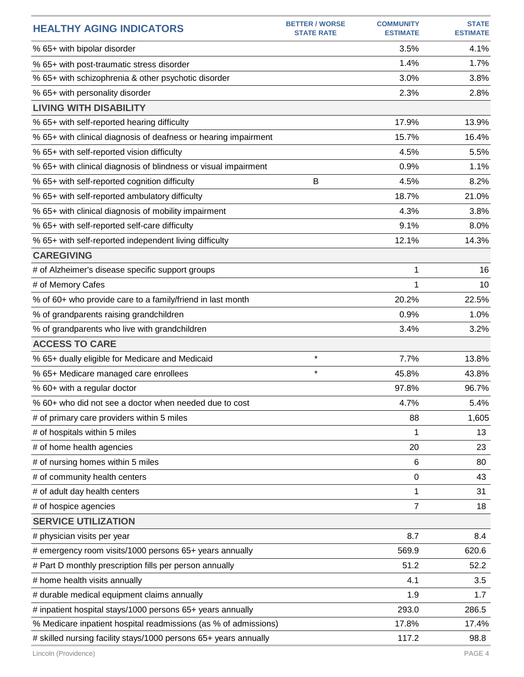| <b>HEALTHY AGING INDICATORS</b>                                  | <b>BETTER / WORSE</b><br><b>STATE RATE</b> | <b>COMMUNITY</b><br><b>ESTIMATE</b> | <b>STATE</b><br><b>ESTIMATE</b> |
|------------------------------------------------------------------|--------------------------------------------|-------------------------------------|---------------------------------|
| % 65+ with bipolar disorder                                      |                                            | 3.5%                                | 4.1%                            |
| % 65+ with post-traumatic stress disorder                        |                                            | 1.4%                                | 1.7%                            |
| % 65+ with schizophrenia & other psychotic disorder              |                                            | 3.0%                                | 3.8%                            |
| % 65+ with personality disorder                                  |                                            | 2.3%                                | 2.8%                            |
| <b>LIVING WITH DISABILITY</b>                                    |                                            |                                     |                                 |
| % 65+ with self-reported hearing difficulty                      |                                            | 17.9%                               | 13.9%                           |
| % 65+ with clinical diagnosis of deafness or hearing impairment  |                                            | 15.7%                               | 16.4%                           |
| % 65+ with self-reported vision difficulty                       |                                            | 4.5%                                | 5.5%                            |
| % 65+ with clinical diagnosis of blindness or visual impairment  |                                            | 0.9%                                | 1.1%                            |
| % 65+ with self-reported cognition difficulty                    | B                                          | 4.5%                                | 8.2%                            |
| % 65+ with self-reported ambulatory difficulty                   |                                            | 18.7%                               | 21.0%                           |
| % 65+ with clinical diagnosis of mobility impairment             |                                            | 4.3%                                | 3.8%                            |
| % 65+ with self-reported self-care difficulty                    |                                            | 9.1%                                | 8.0%                            |
| % 65+ with self-reported independent living difficulty           |                                            | 12.1%                               | 14.3%                           |
| <b>CAREGIVING</b>                                                |                                            |                                     |                                 |
| # of Alzheimer's disease specific support groups                 |                                            | 1                                   | 16                              |
| # of Memory Cafes                                                |                                            | 1                                   | 10                              |
| % of 60+ who provide care to a family/friend in last month       |                                            | 20.2%                               | 22.5%                           |
| % of grandparents raising grandchildren                          |                                            | 0.9%                                | 1.0%                            |
| % of grandparents who live with grandchildren                    |                                            | 3.4%                                | 3.2%                            |
| <b>ACCESS TO CARE</b>                                            |                                            |                                     |                                 |
| % 65+ dually eligible for Medicare and Medicaid                  | $\star$                                    | 7.7%                                | 13.8%                           |
| % 65+ Medicare managed care enrollees                            | $\star$                                    | 45.8%                               | 43.8%                           |
| % 60+ with a regular doctor                                      |                                            | 97.8%                               | 96.7%                           |
| % 60+ who did not see a doctor when needed due to cost           |                                            | 4.7%                                | 5.4%                            |
| # of primary care providers within 5 miles                       |                                            | 88                                  | 1,605                           |
| # of hospitals within 5 miles                                    |                                            | 1                                   | 13                              |
| # of home health agencies                                        |                                            | 20                                  | 23                              |
| # of nursing homes within 5 miles                                |                                            | 6                                   | 80                              |
| # of community health centers                                    |                                            | $\mathbf 0$                         | 43                              |
| # of adult day health centers                                    |                                            | 1                                   | 31                              |
| # of hospice agencies                                            |                                            | $\overline{7}$                      | 18                              |
| <b>SERVICE UTILIZATION</b>                                       |                                            |                                     |                                 |
| # physician visits per year                                      |                                            | 8.7                                 | 8.4                             |
| # emergency room visits/1000 persons 65+ years annually          |                                            | 569.9                               | 620.6                           |
| # Part D monthly prescription fills per person annually          |                                            | 51.2                                | 52.2                            |
| # home health visits annually                                    |                                            | 4.1                                 | 3.5                             |
| # durable medical equipment claims annually                      |                                            | 1.9                                 | 1.7                             |
| # inpatient hospital stays/1000 persons 65+ years annually       |                                            | 293.0                               | 286.5                           |
| % Medicare inpatient hospital readmissions (as % of admissions)  |                                            | 17.8%                               | 17.4%                           |
| # skilled nursing facility stays/1000 persons 65+ years annually |                                            | 117.2                               | 98.8                            |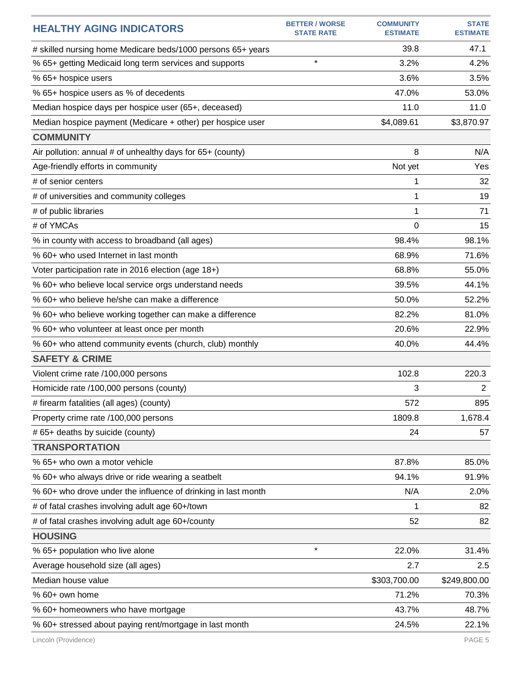| <b>HEALTHY AGING INDICATORS</b>                               | <b>BETTER / WORSE</b><br><b>STATE RATE</b> | <b>COMMUNITY</b><br><b>ESTIMATE</b> | <b>STATE</b><br><b>ESTIMATE</b> |
|---------------------------------------------------------------|--------------------------------------------|-------------------------------------|---------------------------------|
| # skilled nursing home Medicare beds/1000 persons 65+ years   |                                            | 39.8                                | 47.1                            |
| % 65+ getting Medicaid long term services and supports        | $\star$                                    | 3.2%                                | 4.2%                            |
| % 65+ hospice users                                           |                                            | 3.6%                                | 3.5%                            |
| % 65+ hospice users as % of decedents                         |                                            | 47.0%                               | 53.0%                           |
| Median hospice days per hospice user (65+, deceased)          |                                            | 11.0                                | 11.0                            |
| Median hospice payment (Medicare + other) per hospice user    |                                            | \$4,089.61                          | \$3,870.97                      |
| <b>COMMUNITY</b>                                              |                                            |                                     |                                 |
| Air pollution: annual # of unhealthy days for 65+ (county)    |                                            | 8                                   | N/A                             |
| Age-friendly efforts in community                             |                                            | Not yet                             | Yes                             |
| # of senior centers                                           |                                            | 1                                   | 32                              |
| # of universities and community colleges                      |                                            | 1                                   | 19                              |
| # of public libraries                                         |                                            | 1                                   | 71                              |
| # of YMCAs                                                    |                                            | $\Omega$                            | 15                              |
| % in county with access to broadband (all ages)               |                                            | 98.4%                               | 98.1%                           |
| % 60+ who used Internet in last month                         |                                            | 68.9%                               | 71.6%                           |
| Voter participation rate in 2016 election (age 18+)           |                                            | 68.8%                               | 55.0%                           |
| % 60+ who believe local service orgs understand needs         |                                            | 39.5%                               | 44.1%                           |
| % 60+ who believe he/she can make a difference                |                                            | 50.0%                               | 52.2%                           |
| % 60+ who believe working together can make a difference      |                                            | 82.2%                               | 81.0%                           |
| % 60+ who volunteer at least once per month                   |                                            | 20.6%                               | 22.9%                           |
| % 60+ who attend community events (church, club) monthly      |                                            | 40.0%                               | 44.4%                           |
| <b>SAFETY &amp; CRIME</b>                                     |                                            |                                     |                                 |
| Violent crime rate /100,000 persons                           |                                            | 102.8                               | 220.3                           |
| Homicide rate /100,000 persons (county)                       |                                            | 3                                   | $\overline{2}$                  |
| # firearm fatalities (all ages) (county)                      |                                            | 572                                 | 895                             |
| Property crime rate /100,000 persons                          |                                            | 1809.8                              | 1,678.4                         |
| # 65+ deaths by suicide (county)                              |                                            | 24                                  | 57                              |
| <b>TRANSPORTATION</b>                                         |                                            |                                     |                                 |
| % 65+ who own a motor vehicle                                 |                                            | 87.8%                               | 85.0%                           |
| % 60+ who always drive or ride wearing a seatbelt             |                                            | 94.1%                               | 91.9%                           |
| % 60+ who drove under the influence of drinking in last month |                                            | N/A                                 | 2.0%                            |
| # of fatal crashes involving adult age 60+/town               |                                            | 1                                   | 82                              |
| # of fatal crashes involving adult age 60+/county             |                                            | 52                                  | 82                              |
| <b>HOUSING</b>                                                |                                            |                                     |                                 |
| % 65+ population who live alone                               | $\star$                                    | 22.0%                               | 31.4%                           |
| Average household size (all ages)                             |                                            | 2.7                                 | 2.5                             |
| Median house value                                            |                                            | \$303,700.00                        | \$249,800.00                    |
| % 60+ own home                                                |                                            | 71.2%                               | 70.3%                           |
| % 60+ homeowners who have mortgage                            |                                            | 43.7%                               | 48.7%                           |
| % 60+ stressed about paying rent/mortgage in last month       |                                            | 24.5%                               | 22.1%                           |